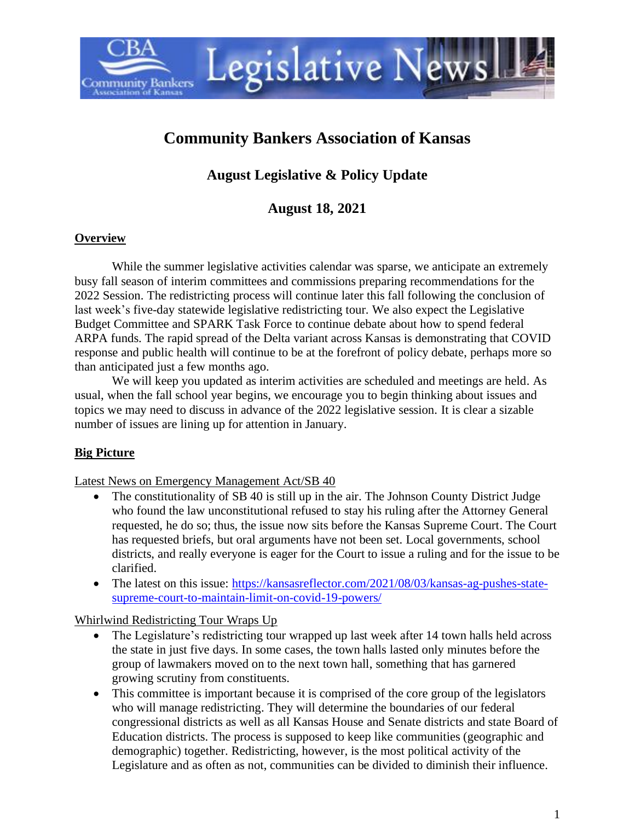

# **Community Bankers Association of Kansas**

## **August Legislative & Policy Update**

## **August 18, 2021**

#### **Overview**

While the summer legislative activities calendar was sparse, we anticipate an extremely busy fall season of interim committees and commissions preparing recommendations for the 2022 Session. The redistricting process will continue later this fall following the conclusion of last week's five-day statewide legislative redistricting tour. We also expect the Legislative Budget Committee and SPARK Task Force to continue debate about how to spend federal ARPA funds. The rapid spread of the Delta variant across Kansas is demonstrating that COVID response and public health will continue to be at the forefront of policy debate, perhaps more so than anticipated just a few months ago.

We will keep you updated as interim activities are scheduled and meetings are held. As usual, when the fall school year begins, we encourage you to begin thinking about issues and topics we may need to discuss in advance of the 2022 legislative session. It is clear a sizable number of issues are lining up for attention in January.

## **Big Picture**

Latest News on Emergency Management Act/SB 40

- The constitutionality of SB 40 is still up in the air. The Johnson County District Judge who found the law unconstitutional refused to stay his ruling after the Attorney General requested, he do so; thus, the issue now sits before the Kansas Supreme Court. The Court has requested briefs, but oral arguments have not been set. Local governments, school districts, and really everyone is eager for the Court to issue a ruling and for the issue to be clarified.
- The latest on this issue: [https://kansasreflector.com/2021/08/03/kansas-ag-pushes-state](https://kansasreflector.com/2021/08/03/kansas-ag-pushes-state-supreme-court-to-maintain-limit-on-covid-19-powers/)[supreme-court-to-maintain-limit-on-covid-19-powers/](https://kansasreflector.com/2021/08/03/kansas-ag-pushes-state-supreme-court-to-maintain-limit-on-covid-19-powers/)

Whirlwind Redistricting Tour Wraps Up

- The Legislature's redistricting tour wrapped up last week after 14 town halls held across the state in just five days. In some cases, the town halls lasted only minutes before the group of lawmakers moved on to the next town hall, something that has garnered growing scrutiny from constituents.
- This committee is important because it is comprised of the core group of the legislators who will manage redistricting. They will determine the boundaries of our federal congressional districts as well as all Kansas House and Senate districts and state Board of Education districts. The process is supposed to keep like communities (geographic and demographic) together. Redistricting, however, is the most political activity of the Legislature and as often as not, communities can be divided to diminish their influence.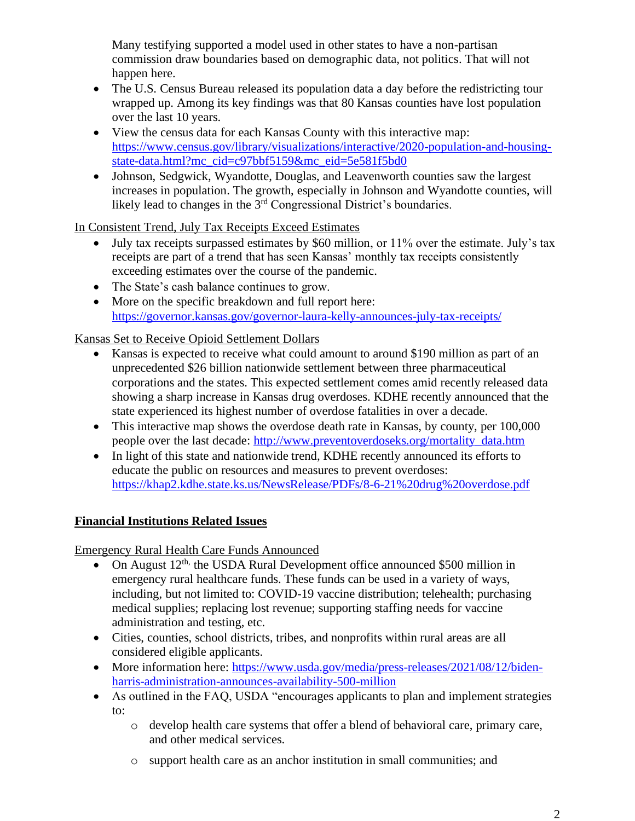Many testifying supported a model used in other states to have a non-partisan commission draw boundaries based on demographic data, not politics. That will not happen here.

- The U.S. Census Bureau released its population data a day before the redistricting tour wrapped up. Among its key findings was that 80 Kansas counties have lost population over the last 10 years.
- View the census data for each Kansas County with this interactive map: [https://www.census.gov/library/visualizations/interactive/2020-population-and-housing](https://www.census.gov/library/visualizations/interactive/2020-population-and-housing-state-data.html?mc_cid=c97bbf5159&mc_eid=5e581f5bd0)[state-data.html?mc\\_cid=c97bbf5159&mc\\_eid=5e581f5bd0](https://www.census.gov/library/visualizations/interactive/2020-population-and-housing-state-data.html?mc_cid=c97bbf5159&mc_eid=5e581f5bd0)
- Johnson, Sedgwick, Wyandotte, Douglas, and Leavenworth counties saw the largest increases in population. The growth, especially in Johnson and Wyandotte counties, will likely lead to changes in the 3rd Congressional District's boundaries.

In Consistent Trend, July Tax Receipts Exceed Estimates

- July tax receipts surpassed estimates by \$60 million, or 11% over the estimate. July's tax receipts are part of a trend that has seen Kansas' monthly tax receipts consistently exceeding estimates over the course of the pandemic.
- The State's cash balance continues to grow.
- More on the specific breakdown and full report here: <https://governor.kansas.gov/governor-laura-kelly-announces-july-tax-receipts/>

Kansas Set to Receive Opioid Settlement Dollars

- Kansas is expected to receive what could amount to around \$190 million as part of an unprecedented \$26 billion nationwide settlement between three pharmaceutical corporations and the states. This expected settlement comes amid recently released data showing a sharp increase in Kansas drug overdoses. KDHE recently announced that the state experienced its highest number of overdose fatalities in over a decade.
- This interactive map shows the overdose death rate in Kansas, by county, per 100,000 people over the last decade: [http://www.preventoverdoseks.org/mortality\\_data.htm](http://www.preventoverdoseks.org/mortality_data.htm)
- In light of this state and nationwide trend, KDHE recently announced its efforts to educate the public on resources and measures to prevent overdoses: <https://khap2.kdhe.state.ks.us/NewsRelease/PDFs/8-6-21%20drug%20overdose.pdf>

## **Financial Institutions Related Issues**

Emergency Rural Health Care Funds Announced

- On August  $12^{th}$ , the USDA Rural Development office announced \$500 million in emergency rural healthcare funds. These funds can be used in a variety of ways, including, but not limited to: COVID-19 vaccine distribution; telehealth; purchasing medical supplies; replacing lost revenue; supporting staffing needs for vaccine administration and testing, etc.
- Cities, counties, school districts, tribes, and nonprofits within rural areas are all considered eligible applicants.
- More information here: [https://www.usda.gov/media/press-releases/2021/08/12/biden](https://www.usda.gov/media/press-releases/2021/08/12/biden-harris-administration-announces-availability-500-million)[harris-administration-announces-availability-500-million](https://www.usda.gov/media/press-releases/2021/08/12/biden-harris-administration-announces-availability-500-million)
- As outlined in the FAQ, USDA "encourages applicants to plan and implement strategies to:
	- o develop health care systems that offer a blend of behavioral care, primary care, and other medical services.
	- o support health care as an anchor institution in small communities; and